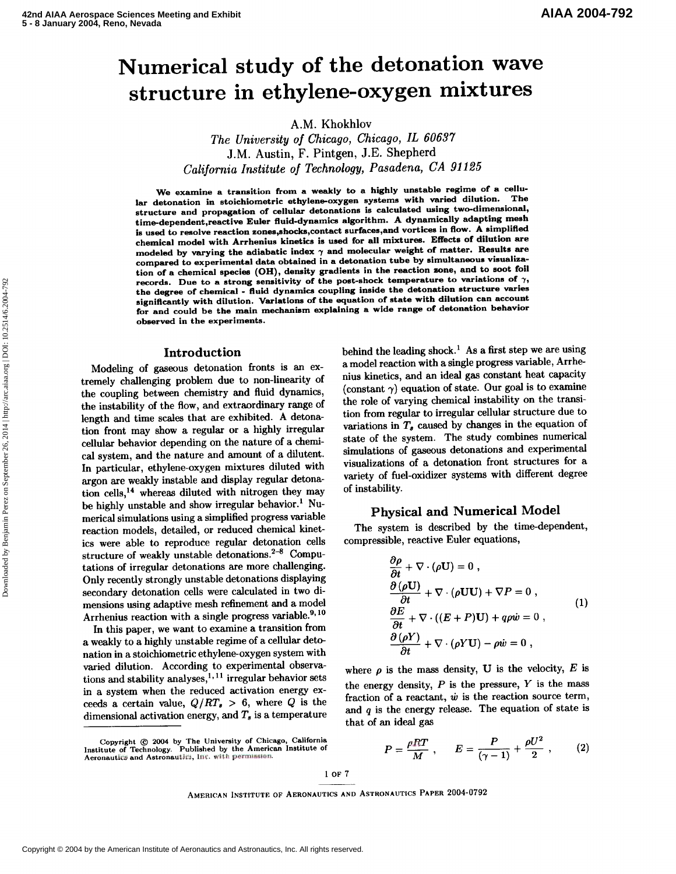# Numerical study of the detonation wave structure in ethylene-oxygen mixtures

A.M. Khokhlov

*The University of Chicago, Chicago, IL 60637*  J.M. Austin, F. Pintgen, J.E. Shepherd *California Institute of Technology, Pasadena, CA* **91** *125* 

We examine a transition from a weakly to a highly unstable regime of a cellular detonation in stoichiometric ethylene-oxygen systems with varied dilution. structure and propagation of cellular detonations is calculated using two-dimensional, time-dependent,reactive Euler fluid-dynamics algorithm. A dynamically adapting mesh is used to resolve reaction zones,shocks,contact surfaces,and vortices in flow. A simplified chemical model with Arrhenius kinetics is used for all mixtures. Effects of dilution are modeled by varying the adiabatic index  $\gamma$  and molecular weight of matter. Results are compared to experimental data obtained in a detonation tube by simultaneous visualization of a chemical speciea (OH), density gradients in the reaction zone, and to aoot foil records. Due to a strong sensitivity of the post-shock temperature to variations of **7,**  the degree of chemical - fluid dynamics coupling inside the detonation structure varies signiflcantly with dilution. Variations of the equation of state with dilution can account for and could be the main mechanism explaining a wide range of detonation behavior or and could be the main me.<br>Learned in the experiments.

#### Introduction

Modeling of gaseous detonation fronts is an extremely challenging problem due to non-linearity of the coupling between chemistry and fluid dynamics, the instability of the flow, and extraordinary range of length and time scales that are exhibited. A detonation front may show a regular or a highly irregular cellular behavior depending on the nature of a chernical system, and the nature and amount of a dilutent. In particular, ethylene-oxygen mixtures diluted with argon are weakly instable and display regular detonation cells,<sup>14</sup> whereas diluted with nitrogen they may be highly unstable and show irregular behavior.' Numerical simulations using a simplified progress variable reaction models, detailed, or reduced chemical kinetics were able to reproduce regular detonation cells structure of weakly unstable detonations. $2-8$  Computations of irregular detonations are more challenging. Only recently strongly unstable detonations displaying secondary detonation cells were calculated in two dimensions using adaptive mesh refinement and a model Arrhenius reaction with a single progress variable.<sup>9,10</sup>

Incinus reaction with a single progress variable. In this paper, we want to examine a transition from<br>a workly to a highly unstable regime of a cellular detoa weakly to a highly unstable regime of a cellular detonation in a stoichiometric ethylene-oxygen system with varied dilution. According to experimental observations and stability analyses,  $1,11$  irregular behavior sets in a system when the reduced activation energy exceeds a certain value,  $Q/RT_s > 6$ , where Q is the dimensional activation energy, and  $T_s$  is a temperature

Copyright © 2004 by The University of Chicago, California<br>Institute of Technology. Published by the American Institute of  $P = \frac{\rho RT}{M}$ ,  $E = \frac{P}{(Q-1)} + \frac{\rho U^2}{2}$ 

behind the leading shock.<sup>1</sup> As a first step we are using a model reaction with a single progress variable, Arrhenius kinetics, and an ideal gas constant heat capacity (constant  $\gamma$ ) equation of state. Our goal is to examine the role of varying chemical instability on the transition from regular to irregular cellular structure due to variations in  $T_s$  caused by changes in the equation of state of the system. The study combines numerical simulations of gaseous detonations and experimental visualizations of a detonation front structures for a variety of fuel-oxidizer systems with different degree of instability.

## Physical and Numerical Model

The system is described by the time-dependent, compressible, reactive Euler equations,

$$
\frac{\partial \rho}{\partial t} + \nabla \cdot (\rho \mathbf{U}) = 0 ,\n\frac{\partial (\rho \mathbf{U})}{\partial t} + \nabla \cdot (\rho \mathbf{U} \mathbf{U}) + \nabla P = 0 ,\n\frac{\partial E}{\partial t} + \nabla \cdot ((E + P) \mathbf{U}) + q\rho \dot{w} = 0 ,\n\frac{\partial (\rho Y)}{\partial t} + \nabla \cdot (\rho Y \mathbf{U}) - \rho \dot{w} = 0 ,
$$
\n(1)

where  $\rho$  is the mass density, U is the velocity, E is the energy density,  $P$  is the pressure,  $Y$  is the mass fraction of a reactant,  $\dot{w}$  is the reaction source term, and  $q$  is the energy release. The equation of state is that of an ideal gas

$$
P = \frac{\rho RT}{M} \; , \qquad E = \frac{P}{(\gamma - 1)} + \frac{\rho U^2}{2} \; , \tag{2}
$$

 $1$  OF  $7$ 

AMERICAN INSTITUTE OF AERONAUTICS AND ASTRONAUTICS PAPER 2004-0792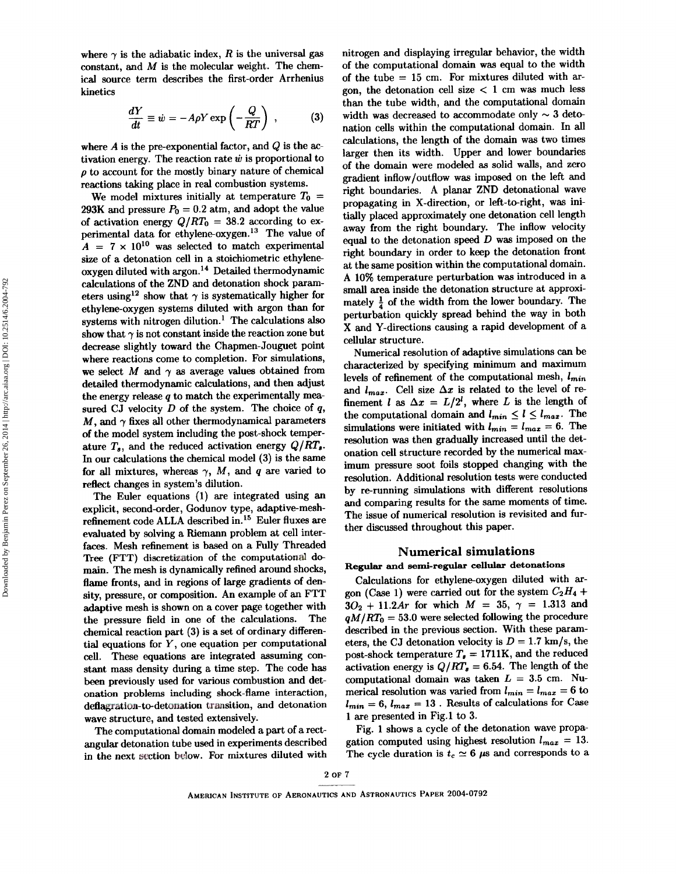where  $\gamma$  is the adiabatic index, R is the universal gas constant, and  $M$  is the molecular weight. The chemical source term describes the first-order Arrhenius kinetics

$$
\frac{dY}{dt} \equiv \dot{w} = -A\rho Y \exp\left(-\frac{Q}{RT}\right) ,\qquad (3)
$$

where  $A$  is the pre-exponential factor, and  $Q$  is the activation energy. The reaction rate  $\dot{w}$  is proportional to **p** to account for the mostly binary nature of chemical reactions taking place in real combustion systems.

We model mixtures initially at temperature  $T_0$  = 293K and pressure  $P_0 = 0.2$  atm, and adopt the value of activation energy  $Q/RT_0 = 38.2$  according to experimental data for ethylene-oxygen.<sup>13</sup> The value of  $A = 7 \times 10^{10}$  was selected to match experimental size of a detonation cell in a stoichiometric ethylene  $\alpha$  oxygen diluted with argon.<sup>14</sup> Detailed thermodynamic calculations of the ZND and detonation shock parameters using<sup>12</sup> show that  $\gamma$  is systematically higher for ethylene-oxygen systems diluted with argon than for systems with nitrogen dilution.' The calculations also show that  $\gamma$  is not constant inside the reaction zone but decrease slightly toward the Chapmen-Jouguet point where reactions come to completion. For simulations, we select M and  $\gamma$  as average values obtained from detailed thermodynamic calculations, and then adjust the energy release  $q$  to match the experimentally measured CJ velocity  $D$  of the system. The choice of  $q$ ,  $M$ , and  $\gamma$  fixes all other thermodynamical parameters of the model system including the post-shock temperature  $T_s$ , and the reduced activation energy  $Q/RT_s$ . In our calculations the chemical model (3) is the same for all mixtures, whereas  $\gamma$ , M, and q are varied to reflect changes in system's dilution.

The Euler equations (1) are integrated using an explicit, second-order, Godunov type, adaptive-meshrefinement code ALLA described in.15 Euler fluxes are evaluated by solving a Riemann problem at cell interfaces. Mesh refinement is based on a Fully Threaded Tree (FTT) discretization of the computational domain. The mesh is dynamically refined around shocks, flame fronts, and in regions of large gradients of density, pressure, or composition. An example of an FTT adaptive mesh is shown on a cover page together with the pressure field in one of the calculations. The chemical reaction part (3) is a set of ordinary differential equations for  $Y$ , one equation per computational cell. These equations are integrated assuming constant mass density during a time step. The code has been previously used for various combustion and detonation problems including shock-flame interaction, deflagration-to-detonation transition, and detonation wave structure, and tested extensively.

The computational domain modeled a part of a rectangular detonation tube used in experiments described in the next section below. For mixtures diluted with nitrogen and displaying irregular behavior, the width of the computational domain was equal to the width of the tube = 15 cm. For mixtures diluted with argon, the detonation cell size  $< 1$  cm was much less than the tube width, and the computational domain width was decreased to accommodate only  $\sim$  3 detonation cells within the computational domain. In all calculations, the length of the domain was two times larger then its width. Upper and lower boundaries of the domain were modeled as solid walls, and zero gradient inflow/outflow was imposed on the left and right boundaries. A planar ZND detonational wave propagating in X-direction, or left-to-right, was initially placed approximately one detonation cell length away from the right boundary. The inflow velocity equal to the detonation speed  $D$  was imposed on the right boundary in order to keep the detonation front at the same position within the computational domain. A 10% temperature perturbation was introduced in a small area inside the detonation structure at approximately  $\frac{1}{4}$  of the width from the lower boundary. The perturbation quickly spread behind the way in both X and Y-directions causing a rapid development of a cellular structure.

Numerical resolution of adaptive simulations can be characterized by specifying minimum and maximum levels of refinement of the computational mesh,  $l_{min}$ and  $l_{max}$ . Cell size  $\Delta x$  is related to the level of refinement *l* as  $\Delta x = L/2^l$ , where *L* is the length of the computational domain and  $l_{min} \le l \le l_{max}$ . The simulations were initiated with  $l_{min} = l_{max} = 6$ . The resolution was then gradually increased until the detonation cell structure recorded by the numerical maximum pressure soot foils stopped changing with the resolution. Additional resolution tests were conducted by rerunning simulations with different resolutions and comparing results for the same moments of time. The issue of numerical resolution is revisited and further discussed throughout this paper.

#### **Numerical simulations**

## **Regular and semi-regular cellular detonations**

Calculations for ethylene-oxygen diluted with argon (Case 1) were carried out for the system  $C_2H_4$  +  $3O_2 + 11.2Ar$  for which  $M = 35$ ,  $\gamma = 1.313$  and  $qM/RT_0 = 53.0$  were selected following the procedure described in the previous section. With these pararneters, the CJ detonation velocity is  $D = 1.7$  km/s, the post-shock temperature  $T_s = 1711K$ , and the reduced activation energy is  $Q/RT_{s} = 6.54$ . The length of the computational domain was taken  $L = 3.5$  cm. Numerical resolution was varied from  $l_{min} = l_{max} = 6$  to  $l_{min} = 6$ ,  $l_{max} = 13$ . Results of calculations for Case 1 are presented in Fig.1 to 3.

Fig. 1 shows a cycle of the detonation wave propagation computed using highest resolution  $l_{max} = 13$ . The cycle duration is  $t_c \approx 6 \mu s$  and corresponds to a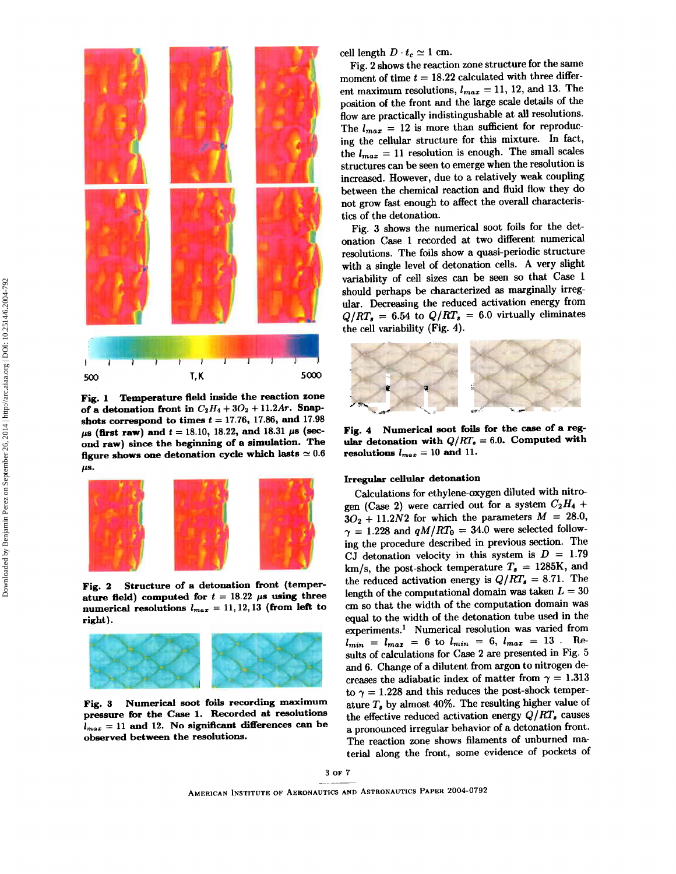

**Fig. 1 Temperature field inside the reaction eone**  of a detonation front in  $C_2H_4 + 3O_2 + 11.2Ar$ . Snapshots correspond to times  $t = 17.76$ , 17.86, and 17.98  $\mu$ s (first raw) and  $t = 18.10, 18.22,$  and 18.31  $\mu$ s (sec**ond raw) since the beginning of a simulation. The**  figure shows one detonation cycle which lasts  $\simeq 0.6$  $\mu$ s.



**Fig. 2 Structure of a detonation front (temper**ature field) computed for  $t = 18.22$   $\mu$ s using three **numerical resolutions**  $l_{max} = 11,12,13$  (from left to **right).** 



**Fig. 3 Numerical soot foils recording maximum pressure for the Case 1. Recorded at resolutions**   $l_{max} = 11$  and 12. No significant differences can be **observed between the resolutions.** 

cell length  $D \cdot t_c \simeq 1$  cm.

Fig. 2 shows the reaction zone structure for the same moment of time  $t = 18.22$  calculated with three different maximum resolutions,  $l_{max} = 11, 12,$  and 13. The position of the front and the large scale details of the flow are practically indistingushable at all resolutions. The  $l_{max}$  = 12 is more than sufficient for reproducing the cellular structure for this mixture. In fact, the  $l_{max} = 11$  resolution is enough. The small scales structures can be seen to emerge when the resolution is increased. However, due to a relatively weak coupling between the chemical reaction and fluid flow they do not grow fast enough to affect the overall characteristics of the detonation.

Fig. 3 shows the numerical soot foils for the detonation Case 1 recorded at two different numerical resolutions. The foils show a quasi-periodic structure with a single level of detonation cells. A very slight variability of cell sizes can be seen so that Case 1 should perhaps be characterized as marginally irregular. Decreasing the reduced activation energy from  $Q/RT_s = 6.54$  to  $Q/RT_s = 6.0$  virtually eliminates the cell variability (Fig. 4).



**Fig. 4 Numerical soot foils for the case of a reg**ular detonation with  $Q/RT_s = 6.0$ . Computed with resolutions  $l_{max} = 10$  and 11.

#### **Irregular cellular detonation**

Calculations for ethylene-oxygen diluted with nitrogen (Case 2) were carried out for a system  $C_2H_4$  +  $3O_2 + 11.2N2$  for which the parameters  $M = 28.0$ ,  $\gamma = 1.228$  and  $qM/RT_0 = 34.0$  were selected following the procedure described in previous section. The CJ detonation velocity in this system is  $D = 1.79$ km/s, the post-shock temperature  $T_s = 1285K$ , and the reduced activation energy is  $Q/RT_s = 8.71$ . The length of the computational domain was taken  $L = 30$ cm so that the width of the computation domain was equal to the width of the detonation tube used in the experiments.' Numerical resolution was varied from  $l_{min}$  =  $l_{max}$  = 6 to  $l_{min}$  = 6,  $l_{max}$  = 13. Results of calculations for Case 2 are presented in Fig. 5 and 6. Change of a dilutent from argon to nitrogen decreases the adiabatic index of matter from  $\gamma = 1.313$ to  $\gamma = 1.228$  and this reduces the post-shock temperature  $T_s$  by almost 40%. The resulting higher value of the effective reduced activation energy  $Q/RT_s$  causes a pronounced irregular behavior of a detonation front. The reaction zone shows filaments of unburned material along the front, some evidence of pockets of

AMERICAN INSTITUTE OF AERONAUTICS AND ASTRONAUTICS PAPER 2004-0792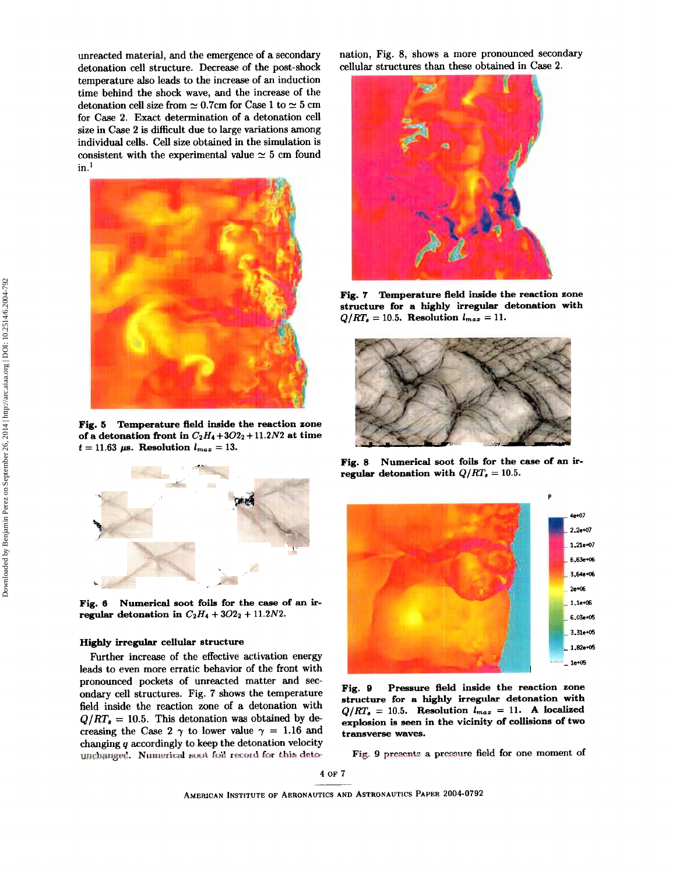nreacted material, and the emergence of a secondary<br>etonation cell structure. Decrease of the post-shock cellular structures than these obtained in Case 2.<br>emperature also leads to the increase of an induction<br>etonation c temperature also leads to the increase of an induction time behind the shock wave, and the increase of the detonation cell size from  $\simeq 0.7$ cm for Case 1 to  $\simeq 5$  cm for Case 2. Exact determination of a detonation cell size in Case 2 is difficult due to large variations among ndividual cells. Cell size obtained in the simulation is onsistent with the experimental value  $\simeq 5$  cm found  $in.<sup>1</sup>$ 



Eig. **6** Temperature fleld inside the reaction zone of a detonation front in  $C_2H_4 + 3O2_2 + 11.2N2$  at time  $t = 11.63 \mu s$ . Resolution  $l_{max} = 13$ .



Fig. 6 Numerical soot foils for the **case** of an irregular detonation in  $C_2H_4 + 3O2_2 + 11.2N2$ .

#### Highly irregular cellular structure

Further increase of the effective activation energy leads to even more erratic behavior of the front with pronounced pockets of unreacted matter and secondary cell structures. Fig. 7 shows the temperature field inside the reaction zone of a detonation with  $Q/RT_s = 10.5$ . This detonation was obtained by decreasing the Case 2  $\gamma$  to lower value  $\gamma = 1.16$  and changing q accordingly to keep the detonation velocity unchanged. Numerical soot foil record for this deto-

unreacted material, and the emergence of a secondary nation, Fig. 8, shows a more pronounced secondary



Fig. **7** Temperature fleld inside the reaction zone structure for a highly irregular detonation with  $Q/RT_a = 10.5$ . Resolution  $l_{max} = 11$ .



Fig. 8 Numerical soot foils for the case of an irregular detonation with  $Q/RT_s = 10.5$ .



Fig. **9** Pressure field inside the reaction zone structure for a highly irregular detonation with  $Q/RT_s = 10.5$ . Resolution  $l_{max} = 11$ . A localized explosion is seen in the vicinity of collisions of two transverse waves.

Fig. 9 presents a pressure field for one moment of

4 or 7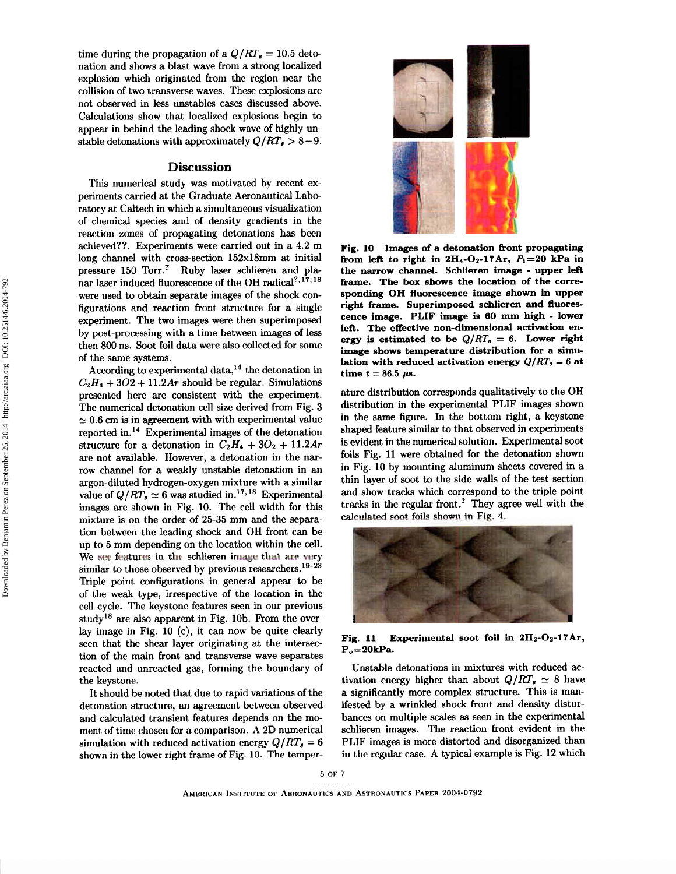time during the propagation of a  $Q/RT_s = 10.5$  detonation and shows a blast wave from a strong localized explosion which originated from the region near the collision of two transverse waves. These explosions are not observed in less unstables cases discussed above. Calculations show that localized explosions begin to appear in behind the leading shock wave of highly unstable detonations with approximately  $Q/RT_s > 8-9$ .

## **Discussion**

This numerical study was motivated by recent experiments carried at the Graduate Aeronautical Laboratory at Caltech in which a simultaneous visualization of chemical species and of density gradients in the reaction zones of propagating detonations has been achieved??. Experiments were carried out in a 4.2 m long channel with cross-section 152xl8mm at initial pressure 150 Torr.? Ruby laser schlieren and planar laser induced fluorescence of the OH radical<sup>?, 17, 18</sup> were used to obtain separate images of the shock configurations and reaction front structure for a single experiment. The two images were then superimposed by post-processing with a time between images of less then 800 ns. Soot foil data were also collected for some of the same systems.

According to experimental data,<sup>14</sup> the detonation in  $C_2H_4 + 3O2 + 11.2Ar$  should be regular. Simulations presented here are consistent with the experiment. The numerical detonation cell size derived from Fig. 3  $\simeq 0.6$  cm is in agreement with with experimental value reported in.14 Experimental images of the detonation structure for a detonation in  $C_2H_4 + 3O_2 + 11.2Ar$ are not available. However, a detonation in the narrow channel for a weakly unstable detonation in an argon-diluted hydrogen-oxygen mixture with a similar value of  $Q/RT_s \simeq 6$  was studied in.<sup>17,18</sup> Experimental images are shown in Fig. 10. The cell width for this mixture is on the order of 25-35 mm and the separation between the leading shock and OH front can be up to 5 mm depending on the location within the cell. We see features in the schlieren image that are very similar to those observed by previous researchers.<sup>19-23</sup> Triple point configurations in general appear to be of the weak type, irrespective of the location in the cell cycle. The keystone features seen in our previous study<sup>18</sup> are also apparent in Fig. 10b. From the overlay image in Fig. 10 (c), it can now be quite clearly seen that the shear layer originating at the intersection of the main front and transverse wave separates reacted and unreacted gas, forming the boundary of the keystone.

It should be noted that due to rapid variations of the detonation structure, an agreement between observed and calculated transient features depends on the moment of time chosen for a comparison. A 2D numerical simulation with reduced activation energy  $Q/RT_s = 6$ shown in the lower right frame of Fig. 10. The temper-



**Fig. 10 Images of a detonation front propagating from left to right in**  $2H_4-O_2-17Ar$ **,**  $P_1=20$  **kPa in the narrow channel. Schlieren image** - **upper left frame. The box shows the location of the corresponding OH fluorescence image shown in upper right frame. Superimposed schlieren and fluorescence image. PLIF image is 60 mm high** - **lower left. The effective non-dimensional activation en**ergy is estimated to be  $Q/RT_s = 6$ . Lower right **image shows temperature distribution for a simulation with reduced activation energy**  $Q/RT_s = 6$  **at time**  $t = 86.5 \mu s$ .

ature distribution corresponds qualitatively to the OH distribution in the experimental PLIF images shown in the same figure. In the bottom right, a keystone shaped feature similar to that observed in experiments is evident in the numerical solution. Experimental soot foils Fig. 11 were obtained for the detonation shown in Fig. 10 by mounting aluminum sheets covered in a thin layer of soot to the side walls of the test section and show tracks which correspond to the triple point tracks in the regular front.? They agree well with the calculated soot foils shown in Fig. 4.



Fig. 11 Experimental soot foil in 2H<sub>2</sub>-O<sub>2</sub>-17Ar, **P0=2OkPa.** 

Unstable detonations in mixtures with reduced activation energy higher than about  $Q/RT_s \simeq 8$  have a significantly more complex structure. This is manifested by a wrinkled shock front and density disturbances on multiple scales as seen in the experimental schlieren images. The reaction front evident in the PLIF images is more distorted and disorganized than in the regular case. A typical example is Fig. 12 which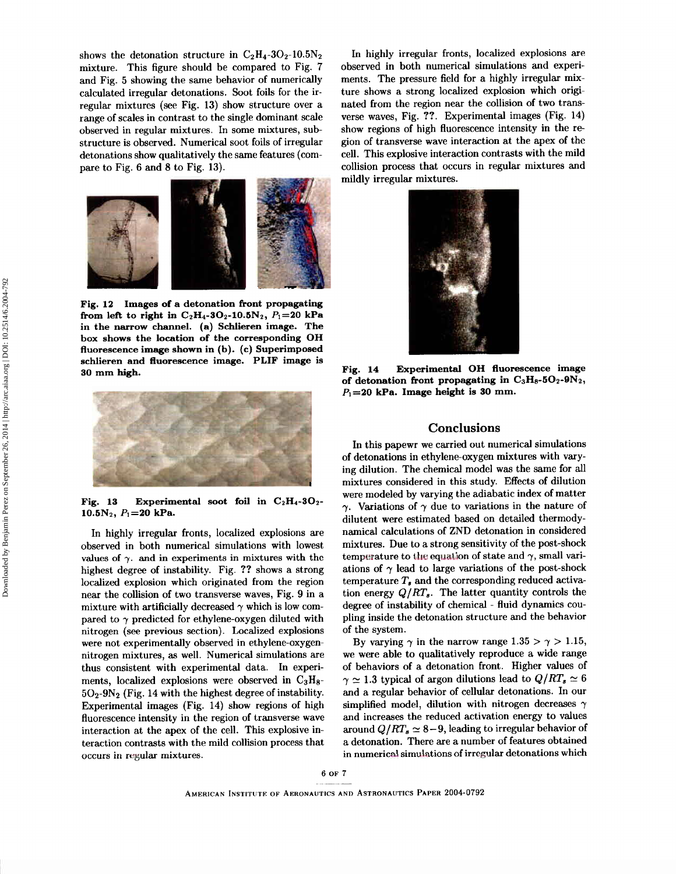shows the detonation structure in  $C_2H_4$ -30<sub>2</sub>-10.5N<sub>2</sub> mixture. This figure should be compared to Fig. 7 and Fig. 5 showing the same behavior of numerically calculated irregular detonations. Soot foils for the irregular mixtures (see Fig. 13) show structure over a range of scales in contrast to the single dominant scale observed in regular mixtures. In some mixtures, substructure is observed. Numerical soot foils of irregular detonations show qualitatively the same features (compare to Fig. 6 and 8 to Fig. 13).



**Fig. 12 Images of a detonation front propagating from left to right in**  $C_2H_4$ **-30<sub>2</sub>-10.5N<sub>2</sub>,**  $P_1=20$  **kPa in the narrow channel. (a) Schlieren image. The box shows the location of the corresponding OH fluorescence image shown in (b). (c) Superimposed schlieren and fluorescence image. PLIF image is 30 mm high.** 



**Fig. 13 Experimental soot foil in C2H4-3O2- 10.6N2, P1=20 kPa.** 

In highly irregular fronts, localized explosions are observed in both numerical simulations with lowest values of  $\gamma$ . and in experiments in mixtures with the highest degree of instability. Fig. ?? shows a strong localized explosion which originated from the region near the collision of two transverse waves, Fig. 9 in a mixture with artificially decreased  $\gamma$  which is low compared to  $\gamma$  predicted for ethylene-oxygen diluted with nitrogen (see previous section). Localized explosions were not experimentally observed in ethylene-oxygennitrogen mixtures, as well. Numerical simulations are thus consistent with experimental data. In experiments, localized explosions were observed in  $C_3H_8$ - $5O_2$ -9N<sub>2</sub> (Fig. 14 with the highest degree of instability. Experimental images (Fig. 14) show regions of high fluorescence intensity in the region of transverse wave interaction at the apex of the cell. This explosive interaction contrasts with the mild collision process that occurs in ragular mixtures.

In highly irregular fronts, localized explosions are observed in both numerical simulations and experiments. The pressure field for a highly irregular mixture shows a strong localized explosion which originated from the region near the collision of two transverse waves, Fig. ??. Experimental images (Fig. 14) show regions of high fluorescence intensity in the region of transverse wave interaction at the apex of the cell. This explosive interaction contrasts with the mild collision process that occurs in regular mixtures and mildly irregular mixtures.



**Fig. 14 Experimental OH fluorescence image of detonation front propagating in C3Ha-602-9N2, P1=20 kPa. Image height is 30 mm.** 

## **Conclusions**

In this papewr we carried out numerical simulations of detonations in ethylene-oxygen mixtures with varying dilution. The chemical model was the same for all mixtures considered in this study. Effects of dilution were modeled by varying the adiabatic index of matter  $\gamma$ . Variations of  $\gamma$  due to variations in the nature of dilutent were estimated based on detailed thermodynamical calculations of ZND detonation in considered mixtures. Due to a strong sensitivity of the post-shock temperature to the equation of state and  $\gamma$ , small variations of  $\gamma$  lead to large variations of the post-shock temperature  $T_s$  and the corresponding reduced activation energy  $Q/RT_s$ . The latter quantity controls the degree of instability of chemical - fluid dynamics coupling inside the detonation structure and the behavior of the system.

By varying  $\gamma$  in the narrow range  $1.35 > \gamma > 1.15$ , we were able to qualitatively reproduce a wide range of behaviors of a detonation front. Higher values of  $\gamma \simeq 1.3$  typical of argon dilutions lead to  $Q/RT_s \simeq 6$ and a regular behavior of cellular detonations. In our simplified model, dilution with nitrogen decreases  $\gamma$ and increases the reduced activation energy to values around  $Q/RT_s \simeq 8-9$ , leading to irregular behavior of a detonation. There are a number of features obtained in numerical simulations of irregular detonations which